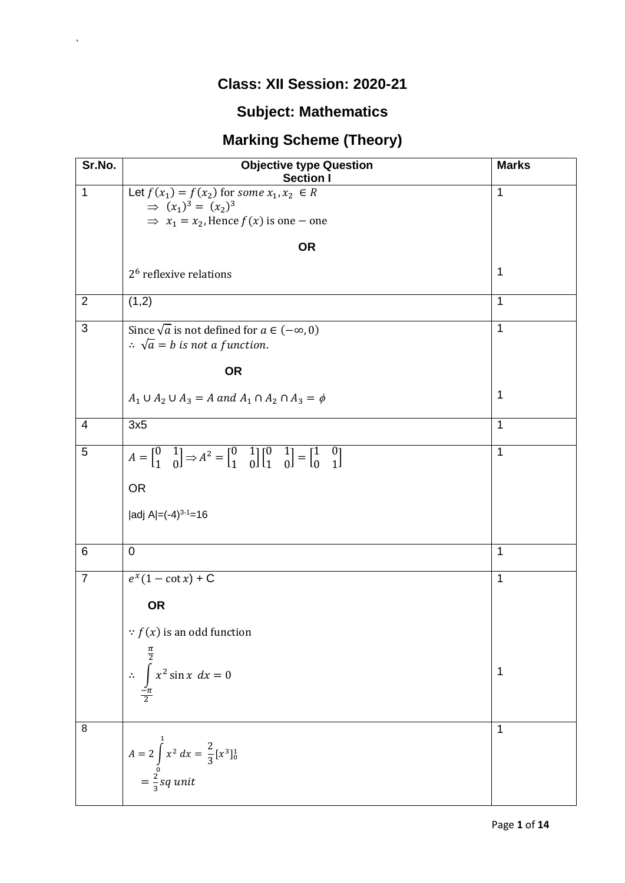## **Class: XII Session: 2020-21**

 $\Delta \sim 1$ 

## **Subject: Mathematics**

## **Marking Scheme (Theory)**

| Sr.No.         | <b>Objective type Question</b><br><b>Section I</b>                                                                                                                                                            | <b>Marks</b> |
|----------------|---------------------------------------------------------------------------------------------------------------------------------------------------------------------------------------------------------------|--------------|
| $\mathbf{1}$   | Let $f(x_1) = f(x_2)$ for some $x_1, x_2 \in R$<br>$\Rightarrow (x_1)^3 = (x_2)^3$                                                                                                                            | 1            |
|                | $\Rightarrow$ $x_1 = x_2$ , Hence $f(x)$ is one – one                                                                                                                                                         |              |
|                | <b>OR</b>                                                                                                                                                                                                     |              |
|                | $26$ reflexive relations                                                                                                                                                                                      | 1            |
| $\overline{2}$ | (1,2)                                                                                                                                                                                                         | 1            |
| 3              | Since $\sqrt{a}$ is not defined for $a \in (-\infty, 0)$<br>$\therefore$ $\sqrt{a} = b$ is not a function.                                                                                                    | $\mathbf{1}$ |
|                | <b>OR</b>                                                                                                                                                                                                     |              |
|                | $A_1 \cup A_2 \cup A_3 = A$ and $A_1 \cap A_2 \cap A_3 = \phi$                                                                                                                                                | $\mathbf 1$  |
| 4              | 3x5                                                                                                                                                                                                           | $\mathbf{1}$ |
| 5              | $A = \begin{bmatrix} 0 & 1 \\ 1 & 0 \end{bmatrix} \Rightarrow A^2 = \begin{bmatrix} 0 & 1 \\ 1 & 0 \end{bmatrix} \begin{bmatrix} 0 & 1 \\ 1 & 0 \end{bmatrix} = \begin{bmatrix} 1 & 0 \\ 0 & 1 \end{bmatrix}$ | 1            |
|                | <b>OR</b>                                                                                                                                                                                                     |              |
|                | $ adj A  = (-4)^{3-1} = 16$                                                                                                                                                                                   |              |
| 6              | $\overline{0}$                                                                                                                                                                                                | 1            |
| $\overline{7}$ | $e^x(1-\cot x) + C$                                                                                                                                                                                           | 1            |
|                | <b>OR</b>                                                                                                                                                                                                     |              |
|                | $\therefore$ $f(x)$ is an odd function                                                                                                                                                                        |              |
|                | $\therefore \int_{-}^{\frac{\pi}{2}} x^2 \sin x \, dx = 0$                                                                                                                                                    | 1            |
| 8              |                                                                                                                                                                                                               | 1            |
|                | $A = 2 \int_{0}^{1} x^2 dx = \frac{2}{3} [x^3]_0^1$<br>= $\frac{2}{3} sq$ unit                                                                                                                                |              |
|                |                                                                                                                                                                                                               |              |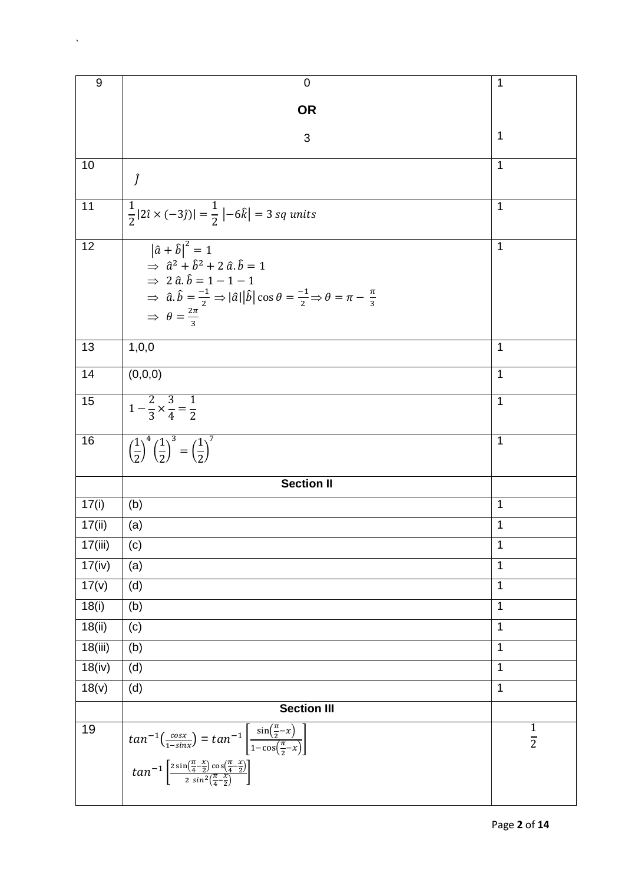| 9       | $\mathbf 0$                                                                                                                                                                                                                                                                                                                                              | 1                              |  |  |
|---------|----------------------------------------------------------------------------------------------------------------------------------------------------------------------------------------------------------------------------------------------------------------------------------------------------------------------------------------------------------|--------------------------------|--|--|
|         | <b>OR</b>                                                                                                                                                                                                                                                                                                                                                |                                |  |  |
|         | 3                                                                                                                                                                                                                                                                                                                                                        | 1                              |  |  |
| 10      | Ĵ                                                                                                                                                                                                                                                                                                                                                        | 1                              |  |  |
| 11      | $\frac{1}{2}$  2î × (-3ĵ)  = $\frac{1}{2}$  -6 $\hat{k}$   = 3 sq units                                                                                                                                                                                                                                                                                  | 1                              |  |  |
| 12      | $\left \hat{a}+\hat{b}\right ^2=1$<br>$\Rightarrow$ $\hat{a}^2 + \hat{b}^2 + 2 \hat{a} \cdot \hat{b} = 1$<br>$\Rightarrow$ 2 $\hat{a}.\hat{b} = 1 - 1 - 1$<br>$\Rightarrow$ $\hat{a}.\hat{b} = \frac{-1}{2} \Rightarrow  \hat{a}  \hat{b}  \cos \theta = \frac{-1}{2} \Rightarrow \theta = \pi - \frac{\pi}{3}$<br>$\Rightarrow \theta = \frac{2\pi}{3}$ | 1                              |  |  |
| 13      | 1,0,0                                                                                                                                                                                                                                                                                                                                                    | 1                              |  |  |
| 14      | (0,0,0)                                                                                                                                                                                                                                                                                                                                                  | 1                              |  |  |
| 15      | $1-\frac{2}{3}\times\frac{3}{4}=\frac{1}{2}$                                                                                                                                                                                                                                                                                                             | 1                              |  |  |
| 16      | $\left(\frac{1}{2}\right)^4 \left(\frac{1}{2}\right)^3 = \left(\frac{1}{2}\right)^7$                                                                                                                                                                                                                                                                     | 1                              |  |  |
|         | <b>Section II</b>                                                                                                                                                                                                                                                                                                                                        |                                |  |  |
| 17(i)   | (b)                                                                                                                                                                                                                                                                                                                                                      | 1                              |  |  |
| 17(ii)  | (a)                                                                                                                                                                                                                                                                                                                                                      | 1                              |  |  |
| 17(iii) | (c)                                                                                                                                                                                                                                                                                                                                                      | 1                              |  |  |
| 17(iv)  | (a)                                                                                                                                                                                                                                                                                                                                                      | 1                              |  |  |
| 17(v)   | (d)                                                                                                                                                                                                                                                                                                                                                      | $\mathbf{1}$                   |  |  |
| 18(i)   | (b)                                                                                                                                                                                                                                                                                                                                                      | $\mathbf{1}$                   |  |  |
| 18(ii)  | (c)                                                                                                                                                                                                                                                                                                                                                      | 1                              |  |  |
| 18(iii) | (b)                                                                                                                                                                                                                                                                                                                                                      | 1                              |  |  |
| 18(iv)  | (d)                                                                                                                                                                                                                                                                                                                                                      | 1                              |  |  |
| 18(v)   | (d)                                                                                                                                                                                                                                                                                                                                                      | 1                              |  |  |
|         | <b>Section III</b>                                                                                                                                                                                                                                                                                                                                       |                                |  |  |
| 19      | $tan^{-1}\left(\frac{cos x}{1-sin x}\right) = tan^{-1}\left[\frac{sin(\frac{\pi}{2}-x)}{1-cos(\frac{\pi}{2}-x)}\right]$<br>$tan^{-1}\left[\frac{2 sin(\frac{\pi}{4}-\frac{x}{2})cos(\frac{\pi}{4}-\frac{x}{2})}{2 sin^2(\frac{\pi}{4}-\frac{x}{2})}\right]$                                                                                              | $\mathbf{1}$<br>$\overline{2}$ |  |  |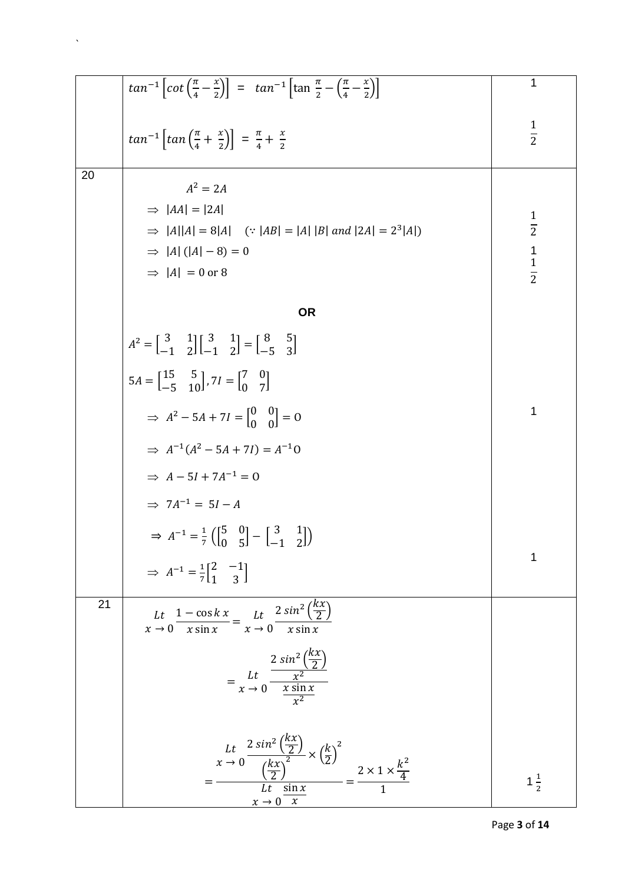|    | $tan^{-1}\left[cot\left(\frac{\pi}{4}-\frac{x}{2}\right)\right] = tan^{-1}\left[tan\frac{\pi}{2}-\left(\frac{\pi}{4}-\frac{x}{2}\right)\right]$                                                                                                       | $\mathbf 1$    |
|----|-------------------------------------------------------------------------------------------------------------------------------------------------------------------------------------------------------------------------------------------------------|----------------|
|    | $tan^{-1}\left[tan\left(\frac{\pi}{4}+ \frac{x}{2}\right)\right] = \frac{\pi}{4} + \frac{x}{2}$                                                                                                                                                       | $rac{1}{2}$    |
| 20 | $A^2 = 2A$                                                                                                                                                                                                                                            |                |
|    | $\Rightarrow$ $ AA  =  2A $                                                                                                                                                                                                                           |                |
|    | $\Rightarrow$  A  A  = 8 A  (:  AB  =  A  B  and  2A  = 2 <sup>3</sup>  A )                                                                                                                                                                           | $\frac{1}{2}$  |
|    | $\Rightarrow$  A  ( A  - 8) = 0                                                                                                                                                                                                                       | $\frac{1}{2}$  |
|    | $\Rightarrow$  A  = 0 or 8                                                                                                                                                                                                                            |                |
|    | <b>OR</b>                                                                                                                                                                                                                                             |                |
|    | $A^{2} = \begin{bmatrix} 3 & 1 \\ -1 & 2 \end{bmatrix} \begin{bmatrix} 3 & 1 \\ -1 & 2 \end{bmatrix} = \begin{bmatrix} 8 & 5 \\ -5 & 3 \end{bmatrix}$                                                                                                 |                |
|    | $5A = \begin{bmatrix} 15 & 5 \\ -5 & 10 \end{bmatrix}$ , $7I = \begin{bmatrix} 7 & 0 \\ 0 & 7 \end{bmatrix}$                                                                                                                                          |                |
|    | $\Rightarrow$ $A^2 - 5A + 7I = \begin{bmatrix} 0 & 0 \\ 0 & 0 \end{bmatrix} = 0$                                                                                                                                                                      | 1              |
|    | $\Rightarrow$ $A^{-1}(A^2 - 5A + 7I) = A^{-1}0$                                                                                                                                                                                                       |                |
|    | $\Rightarrow A-5I+7A^{-1}=0$                                                                                                                                                                                                                          |                |
|    | $\Rightarrow$ 7A <sup>-1</sup> = 5I - A                                                                                                                                                                                                               |                |
|    | $\Rightarrow$ $A^{-1} = \frac{1}{7} \left( \begin{bmatrix} 5 & 0 \\ 0 & 5 \end{bmatrix} - \begin{bmatrix} 3 & 1 \\ -1 & 2 \end{bmatrix} \right)$                                                                                                      |                |
|    | $\Rightarrow A^{-1} = \frac{1}{7} \begin{bmatrix} 2 & -1 \\ 1 & 3 \end{bmatrix}$                                                                                                                                                                      | 1              |
| 21 | Lt $\frac{1-\cos k x}{x \sin x} = \frac{Lt}{x \to 0} \frac{2 \sin^2(\frac{kx}{2})}{x \sin x}$                                                                                                                                                         |                |
|    | $= \frac{Lt}{x \to 0} \frac{\frac{2 \sin^2{\left(\frac{kx}{2}\right)}}{x^2}}{\frac{x \sin x}{x^2}}$                                                                                                                                                   |                |
|    | Lt $\frac{2 \sin^2 \left(\frac{kx}{2}\right)}{\left(\frac{kx}{2}\right)^2} \times \left(\frac{k}{2}\right)^2$<br>= $\frac{\left(\frac{kx}{2}\right)^2}{\left(\frac{kx}{2}\right)^2} = \frac{2 \times 1 \times \frac{k^2}{4}}{1}$<br>$x \to 0 \quad x$ | $1\frac{1}{2}$ |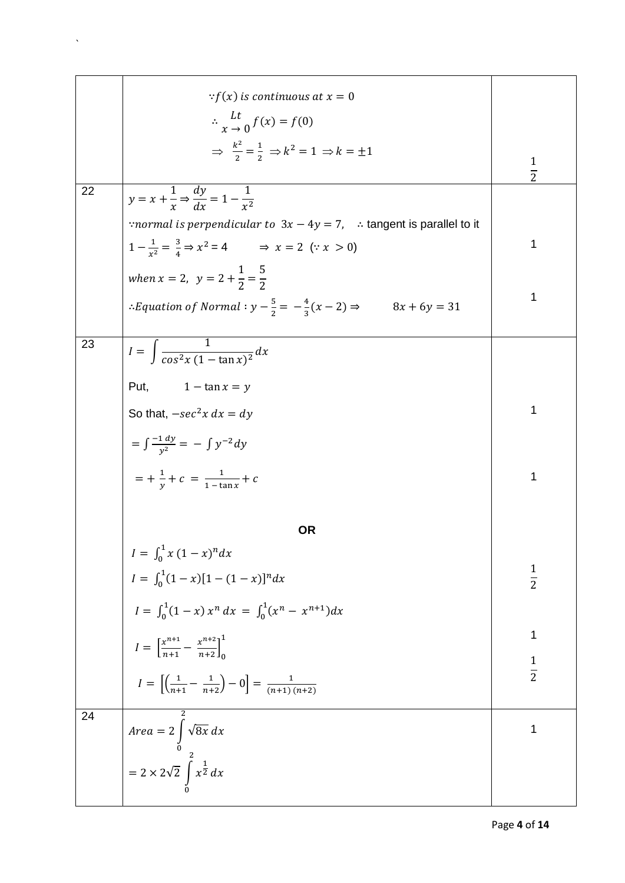|    | $\therefore f(x)$ is continuous at $x = 0$                                                       |               |
|----|--------------------------------------------------------------------------------------------------|---------------|
|    | $\therefore \frac{Lt}{r} \cdot \int f(x) = f(0)$                                                 |               |
|    | $\Rightarrow \frac{k^2}{2} = \frac{1}{2} \Rightarrow k^2 = 1 \Rightarrow k = \pm 1$              | $\frac{1}{2}$ |
| 22 | $y = x + \frac{1}{x} \Rightarrow \frac{dy}{dx} = 1 - \frac{1}{x^2}$                              |               |
|    | "normal is perpendicular to $3x - 4y = 7$ , : tangent is parallel to it                          |               |
|    | $1 - \frac{1}{x^2} = \frac{3}{4} \Rightarrow x^2 = 4$ $\Rightarrow x = 2 \quad (\because x > 0)$ | 1             |
|    | when $x = 2$ , $y = 2 + \frac{1}{2} = \frac{5}{2}$                                               |               |
|    | : Equation of Normal : $y - \frac{5}{2} = -\frac{4}{3}(x - 2) \Rightarrow 8x + 6y = 31$          | 1             |
| 23 | $I = \int \frac{1}{\cos^2 x (1 - \tan x)^2} dx$                                                  |               |
|    | Put, $1 - \tan x = y$                                                                            |               |
|    | So that, $-sec^2x dx = dy$                                                                       | 1             |
|    | $=\int \frac{-1\,dy}{y^2} = -\int y^{-2} dy$                                                     |               |
|    | $=$ + $\frac{1}{y}$ + $c = \frac{1}{1 - \tan x}$ + $c$                                           | 1             |
|    | <b>OR</b>                                                                                        |               |
|    | $I = \int_0^1 x (1-x)^n dx$                                                                      |               |
|    | $I = \int_0^1 (1-x)[1-(1-x)]^n dx$                                                               | $rac{1}{2}$   |
|    | $I = \int_0^1 (1-x) x^n dx = \int_0^1 (x^n - x^{n+1}) dx$                                        |               |
|    | $I = \left[\frac{x^{n+1}}{n+1} - \frac{x^{n+2}}{n+2}\right]_0^1$                                 | 1             |
|    | $I = \left[\left(\frac{1}{n+1} - \frac{1}{n+2}\right) - 0\right] = \frac{1}{(n+1)(n+2)}$         | $\frac{1}{2}$ |
| 24 | <i>Area</i> = $2 \int_{0}^{\pi} \sqrt{8x} \, dx$                                                 | 1             |
|    | = $2 \times 2\sqrt{2} \int^{2} x^{\frac{1}{2}} dx$                                               |               |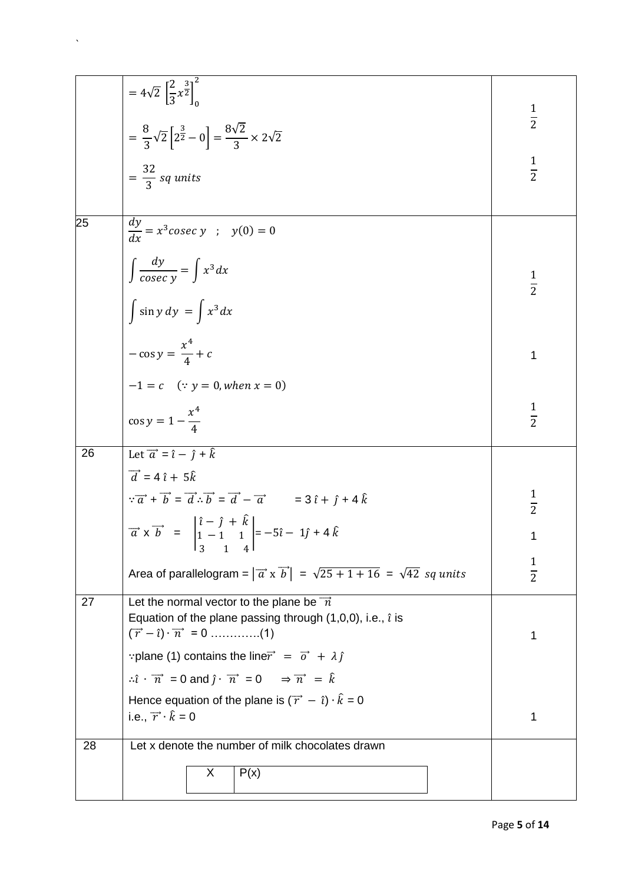|    | = $4\sqrt{2} \left[ \frac{2}{3} x^{\frac{3}{2}} \right]_0^2$                                                                                                                                   | $\frac{1}{2}$ |  |  |  |
|----|------------------------------------------------------------------------------------------------------------------------------------------------------------------------------------------------|---------------|--|--|--|
|    | $=\frac{8}{3}\sqrt{2}\left[2^{\frac{3}{2}}-0\right]=\frac{8\sqrt{2}}{3}\times 2\sqrt{2}$                                                                                                       |               |  |  |  |
|    | $=\frac{32}{3}$ sq units                                                                                                                                                                       | $\frac{1}{2}$ |  |  |  |
| 25 |                                                                                                                                                                                                |               |  |  |  |
|    | $\frac{dy}{dx} = x^3 \csc y \quad ; \quad y(0) = 0$                                                                                                                                            |               |  |  |  |
|    | $\int \frac{dy}{cosec y} = \int x^3 dx$                                                                                                                                                        | $\frac{1}{2}$ |  |  |  |
|    | $\int \sin y \, dy = \int x^3 dx$                                                                                                                                                              |               |  |  |  |
|    | $-\cos y = \frac{x^4}{4} + c$                                                                                                                                                                  | 1             |  |  |  |
|    | $-1 = c$ (: $y = 0$ , when $x = 0$ )                                                                                                                                                           |               |  |  |  |
|    | $\cos y = 1 - \frac{x^4}{4}$                                                                                                                                                                   | $\frac{1}{2}$ |  |  |  |
| 26 | Let $\vec{a} = \hat{i} - \hat{j} + \hat{k}$                                                                                                                                                    |               |  |  |  |
|    | $\vec{d}$ = 4 $\hat{i}$ + 5 $\hat{k}$                                                                                                                                                          |               |  |  |  |
|    | $\overrightarrow{a} + \overrightarrow{b} = \overrightarrow{a} \cdot \overrightarrow{b} = \overrightarrow{a} - \overrightarrow{a}$ = 3 î + j + 4 k                                              | $\frac{1}{2}$ |  |  |  |
|    | $\vec{a} \times \vec{b} = \begin{vmatrix} \hat{i} - \hat{j} + \hat{k} \\ 1 - 1 & 1 \end{vmatrix} = -5\hat{i} - 1\hat{j} + 4\hat{k}$<br>$\frac{1}{3}$<br>1<br>4 <sup>1</sup>                    | 1             |  |  |  |
|    | Area of parallelogram = $ \vec{a} \times \vec{b}  = \sqrt{25 + 1 + 16} = \sqrt{42}$ sq units                                                                                                   | $\frac{1}{2}$ |  |  |  |
| 27 | Let the normal vector to the plane be $\vec{n}$<br>Equation of the plane passing through (1,0,0), i.e., $\hat{i}$ is<br>$(\overrightarrow{r} - \hat{\imath}) \cdot \overrightarrow{n} = 0$ (1) | 1             |  |  |  |
|    | "plane (1) contains the line $\vec{r} = \vec{o} + \lambda \hat{j}$                                                                                                                             |               |  |  |  |
|    | $\therefore \hat{i} \cdot \overrightarrow{n} = 0$ and $\hat{j} \cdot \overrightarrow{n} = 0$ $\Rightarrow \overrightarrow{n} = \hat{k}$                                                        |               |  |  |  |
|    | Hence equation of the plane is $(\vec{r} - \hat{i}) \cdot \hat{k} = 0$                                                                                                                         |               |  |  |  |
|    | i.e., $\overrightarrow{r} \cdot \hat{k} = 0$                                                                                                                                                   | 1             |  |  |  |
| 28 | Let x denote the number of milk chocolates drawn                                                                                                                                               |               |  |  |  |
|    | P(x)<br>X                                                                                                                                                                                      |               |  |  |  |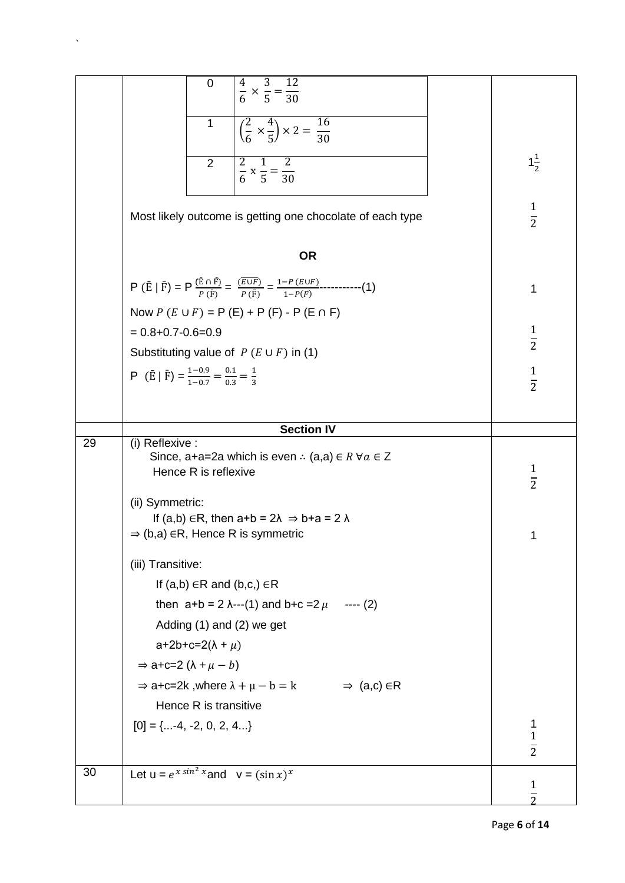|    | $rac{4}{6} \times \frac{3}{5} = \frac{12}{30}$<br>$\mathbf 0$                                                                                                      |                    |  |  |  |  |
|----|--------------------------------------------------------------------------------------------------------------------------------------------------------------------|--------------------|--|--|--|--|
|    | $\left(\frac{2}{6} \times \frac{4}{5}\right) \times 2 = \frac{16}{30}$<br>1                                                                                        |                    |  |  |  |  |
|    | $\frac{2}{6} \times \frac{1}{5} = \frac{2}{30}$<br>2                                                                                                               | $1\frac{1}{2}$     |  |  |  |  |
|    | Most likely outcome is getting one chocolate of each type                                                                                                          | $\frac{1}{2}$      |  |  |  |  |
|    | <b>OR</b>                                                                                                                                                          |                    |  |  |  |  |
|    | $P(\bar{E}   \bar{F}) = P \frac{(\bar{E} \cap \bar{F})}{P(\bar{F})} = \frac{(\bar{E} \cup \bar{F})}{P(\bar{F})} = \frac{1 - P(E \cup F)}{1 - P(F)}$ -----------(1) | 1                  |  |  |  |  |
|    | Now $P(E \cup F) = P(E) + P(F) - P(E \cap F)$                                                                                                                      |                    |  |  |  |  |
|    | $= 0.8 + 0.7 - 0.6 = 0.9$                                                                                                                                          | $\frac{1}{2}$      |  |  |  |  |
|    | Substituting value of $P(E \cup F)$ in (1)                                                                                                                         |                    |  |  |  |  |
|    | P $(\bar{E}   \bar{F}) = \frac{1-0.9}{1-0.7} = \frac{0.1}{0.3} = \frac{1}{3}$                                                                                      | $\frac{1}{2}$      |  |  |  |  |
|    |                                                                                                                                                                    |                    |  |  |  |  |
|    |                                                                                                                                                                    |                    |  |  |  |  |
| 29 | <b>Section IV</b><br>(i) Reflexive :                                                                                                                               |                    |  |  |  |  |
|    | Since, a+a=2a which is even $\therefore$ (a,a) $\in$ R $\forall a \in Z$<br>Hence R is reflexive                                                                   |                    |  |  |  |  |
|    | (ii) Symmetric:<br>If (a,b) $\in$ R, then a+b = 2 $\lambda \Rightarrow$ b+a = 2 $\lambda$<br>$\Rightarrow$ (b,a) ER, Hence R is symmetric                          | $\frac{1}{2}$<br>1 |  |  |  |  |
|    | (iii) Transitive:                                                                                                                                                  |                    |  |  |  |  |
|    | If $(a,b) \in R$ and $(b,c) \in R$                                                                                                                                 |                    |  |  |  |  |
|    | then $a+b = 2 \lambda$ ---(1) and $b+c=2 \mu$ ---- (2)                                                                                                             |                    |  |  |  |  |
|    | Adding (1) and (2) we get                                                                                                                                          |                    |  |  |  |  |
|    | a+2b+c=2( $\lambda$ + $\mu$ )                                                                                                                                      |                    |  |  |  |  |
|    | $\Rightarrow$ a+c=2 ( $\lambda + \mu - b$ )                                                                                                                        |                    |  |  |  |  |
|    | $\Rightarrow$ a+c=2k, where $\lambda + \mu - b = k$ $\Rightarrow$ (a,c) $\in$ R                                                                                    |                    |  |  |  |  |
|    | Hence R is transitive                                                                                                                                              |                    |  |  |  |  |
|    | $[0] = \{-4, -2, 0, 2, 4\}$                                                                                                                                        | 1<br>$\frac{1}{2}$ |  |  |  |  |
| 30 | Let $u = e^{x \sin^2 x}$ and $v = (\sin x)^x$                                                                                                                      |                    |  |  |  |  |
|    |                                                                                                                                                                    | $\mathbf{1}$       |  |  |  |  |

 $\mathcal{N}^{\text{max}}_{\text{max}}$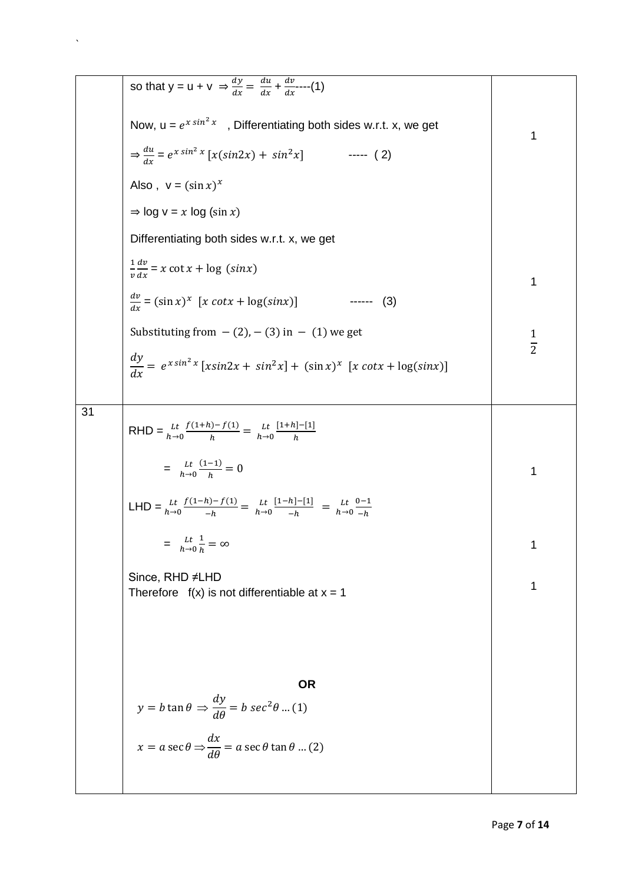so that 
$$
y = u + v \Rightarrow \frac{dy}{dx} = \frac{du}{dx} + \frac{dv}{dx}
$$
...(1)  
\nNow,  $u = e^{x \sin^2 x}$ , Differentiating both sides w.r.t. x, we get  
\n $\Rightarrow \frac{du}{dx} = e^{x \sin^2 x} [x(\sin 2x) + \sin^2 x]$  (2)  
\nAlso,  $v = (\sin x)^x$   
\n $\Rightarrow \log v = x \log (\sin x)$   
\nDifferentiating both sides w.r.t. x, we get  
\n $\frac{dv}{dx} = (\sin x)^x [x \cot x + \log (\sin x)]$  (3)  
\nSubstituting from  $-(2)$ ,  $-(3)$  in  $-(1)$  we get  
\n $\frac{dy}{dx} = e^{x \sin^2 x} [x \sin 2x + \sin^2 x] + (\sin x)^x [x \cot x + \log(\sin x)]$   
\n31  
\nRHD =  $\frac{u}{h \to 0} \frac{f(1+h) - f(1)}{h} = \frac{u}{h \to 0} \frac{[1+h] - [1]}{h}$   
\n $= \frac{u}{h \to 0} \frac{(1-1)}{h} = 0$   
\nLHD =  $\frac{u}{h \to 0} \frac{(1-h) - f(1)}{h} = \frac{u}{h \to 0} \frac{[1-h] - [1]}{h} = \frac{u}{h \to 0} \frac{0-1}{h}$   
\n $= \frac{u}{h \to 0} \frac{(1-h) - f(1)}{h} = \frac{u}{h \to 0} \frac{1}{h} = \frac{1}{h \to 0} \frac{0-1}{h}$   
\n $= \frac{1}{h \to 0} \frac{1}{h} = \infty$   
\nSince, RHD  $\neq$  LHD  
\nTherefore  $f(x)$  is not differentiable at  $x = 1$   
\n $y = b \tan \theta \Rightarrow \frac{dy}{d\theta} = b \sec^2 \theta$  ...(1)  
\n $x = a \sec \theta \Rightarrow \frac{dx}{d\theta} = a \sec \theta \tan \theta$  ...(2)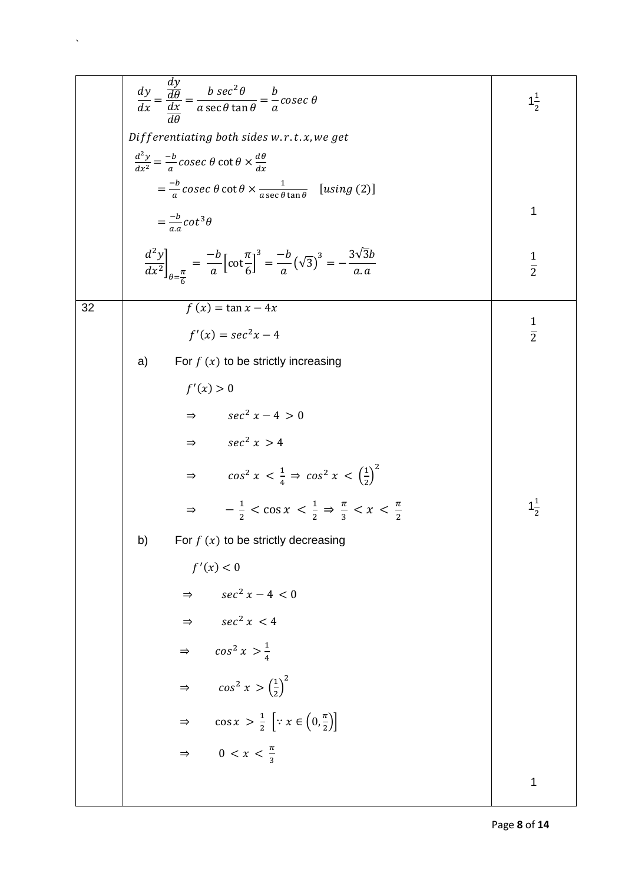|    | $\frac{dy}{dx} = \frac{\frac{dy}{d\theta}}{\frac{dx}{d\theta}} = \frac{b \sec^2 \theta}{a \sec \theta \tan \theta} = \frac{b}{a}cosec \theta$                                           | $1\frac{1}{2}$ |  |  |  |
|----|-----------------------------------------------------------------------------------------------------------------------------------------------------------------------------------------|----------------|--|--|--|
|    | Differentiating both sides w.r.t.x, we get                                                                                                                                              |                |  |  |  |
|    | $\frac{d^2y}{dx^2} = -\frac{b}{a}cosec \theta \cot \theta \times \frac{d\theta}{dx}$                                                                                                    |                |  |  |  |
|    | $=\frac{-b}{a}cosec \theta \cot \theta \times \frac{1}{a \sec \theta \tan \theta}$ [using (2)]                                                                                          |                |  |  |  |
|    | $=\frac{-b}{a} \cot^3 \theta$                                                                                                                                                           |                |  |  |  |
|    | $\left. \frac{d^2y}{dx^2} \right _{\theta = \frac{\pi}{2}} = \frac{-b}{a} \left[ \cot \frac{\pi}{6} \right]^3 = \frac{-b}{a} \left( \sqrt{3} \right)^3 = -\frac{3\sqrt{3}b}{a \cdot a}$ | $\frac{1}{2}$  |  |  |  |
| 32 | $f(x) = \tan x - 4x$                                                                                                                                                                    |                |  |  |  |
|    | $f'(x) = \sec^2 x - 4$                                                                                                                                                                  | $rac{1}{2}$    |  |  |  |
|    | For $f(x)$ to be strictly increasing<br>a)                                                                                                                                              |                |  |  |  |
|    | f'(x) > 0                                                                                                                                                                               |                |  |  |  |
|    | $\Rightarrow$ $\sec^2 x - 4 > 0$                                                                                                                                                        |                |  |  |  |
|    | $\Rightarrow$ $\sec^2 x > 4$                                                                                                                                                            |                |  |  |  |
|    | $\Rightarrow \qquad \cos^2 x < \frac{1}{4} \Rightarrow \cos^2 x < \left(\frac{1}{2}\right)^2$                                                                                           |                |  |  |  |
|    | $\Rightarrow$ $-\frac{1}{2} < \cos x < \frac{1}{2} \Rightarrow \frac{\pi}{2} < x < \frac{\pi}{2}$                                                                                       | $1\frac{1}{2}$ |  |  |  |
|    | For $f(x)$ to be strictly decreasing<br>b)                                                                                                                                              |                |  |  |  |
|    | f'(x) < 0                                                                                                                                                                               |                |  |  |  |
|    | $\Rightarrow$ $\sec^2 x - 4 < 0$                                                                                                                                                        |                |  |  |  |
|    | $\Rightarrow$ $\sec^2 x < 4$                                                                                                                                                            |                |  |  |  |
|    | $\Rightarrow \quad \cos^2 x > \frac{1}{4}$                                                                                                                                              |                |  |  |  |
|    | $\Rightarrow \qquad \cos^2 x > \left(\frac{1}{2}\right)^2$                                                                                                                              |                |  |  |  |
|    | $\cos x > \frac{1}{2} \left[ \because x \in \left(0, \frac{\pi}{2}\right) \right]$<br>$\Rightarrow$                                                                                     |                |  |  |  |
|    | $\Rightarrow$ 0 < x < $\frac{\pi}{2}$                                                                                                                                                   |                |  |  |  |
|    |                                                                                                                                                                                         | 1              |  |  |  |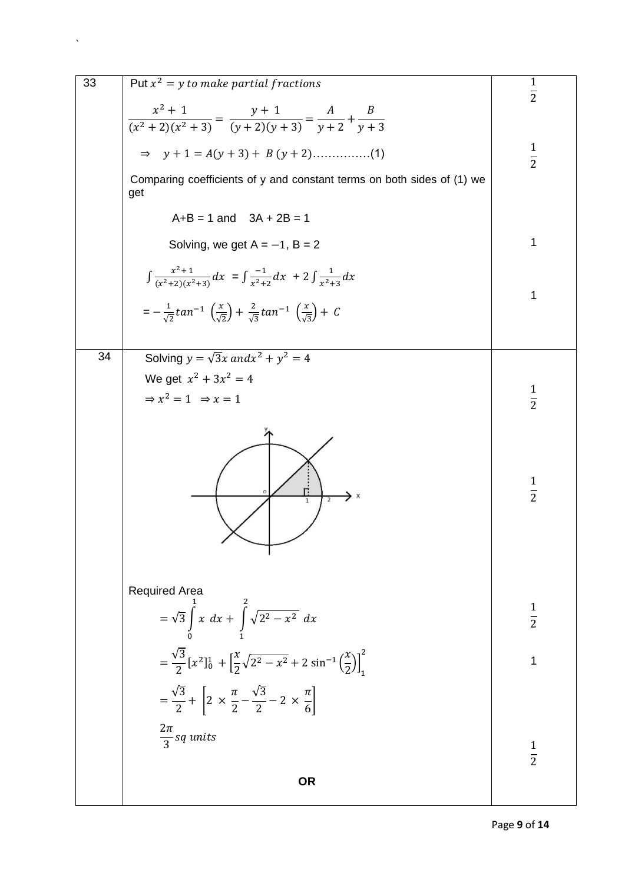| 33 | Put $x^2 = y$ to make partial fractions                                                                                     |               |
|----|-----------------------------------------------------------------------------------------------------------------------------|---------------|
|    |                                                                                                                             | $\frac{1}{2}$ |
|    |                                                                                                                             |               |
|    | $\frac{x^2+1}{(x^2+2)(x^2+3)} = \frac{y+1}{(y+2)(y+3)} = \frac{A}{y+2} + \frac{B}{y+3}$                                     |               |
|    | $\Rightarrow y + 1 = A(y + 3) + B(y + 2)$ (1)                                                                               | $\frac{1}{2}$ |
|    | Comparing coefficients of y and constant terms on both sides of (1) we<br>get                                               |               |
|    | $A+B = 1$ and $3A + 2B = 1$                                                                                                 |               |
|    | Solving, we get $A = -1$ , $B = 2$                                                                                          | 1             |
|    | $\int \frac{x^2+1}{(x^2+2)(x^2+3)} dx = \int \frac{-1}{x^2+2} dx + 2 \int \frac{1}{x^2+3} dx$                               | 1             |
|    | $=-\frac{1}{\sqrt{2}}tan^{-1}(\frac{x}{\sqrt{2}})+\frac{2}{\sqrt{3}}tan^{-1}(\frac{x}{\sqrt{3}})+C$                         |               |
|    |                                                                                                                             |               |
| 34 | Solving $y = \sqrt{3}x$ and $x^2 + y^2 = 4$                                                                                 |               |
|    | We get $x^2 + 3x^2 = 4$                                                                                                     |               |
|    | $\Rightarrow$ $x^2 = 1$ $\Rightarrow$ $x = 1$                                                                               | $\frac{1}{2}$ |
|    | $\mathbf{1}$                                                                                                                | $\frac{1}{2}$ |
|    | <b>Required Area</b>                                                                                                        |               |
|    | $=\sqrt{3}\int_{0}^{x} x dx + \int_{0}^{x} \sqrt{2^{2}-x^{2}} dx$                                                           | $\frac{1}{2}$ |
|    | $= \frac{\sqrt{3}}{2} [x^2]_0^1 + \left[ \frac{x}{2} \sqrt{2^2 - x^2} + 2 \sin^{-1} \left( \frac{x}{2} \right) \right]_1^2$ | 1             |
|    | $=\frac{\sqrt{3}}{2}+\left[2\times\frac{\pi}{2}-\frac{\sqrt{3}}{2}-2\times\frac{\pi}{6}\right]$                             |               |
|    | $\frac{2\pi}{3}$ sq units                                                                                                   | $\frac{1}{2}$ |
|    | <b>OR</b>                                                                                                                   |               |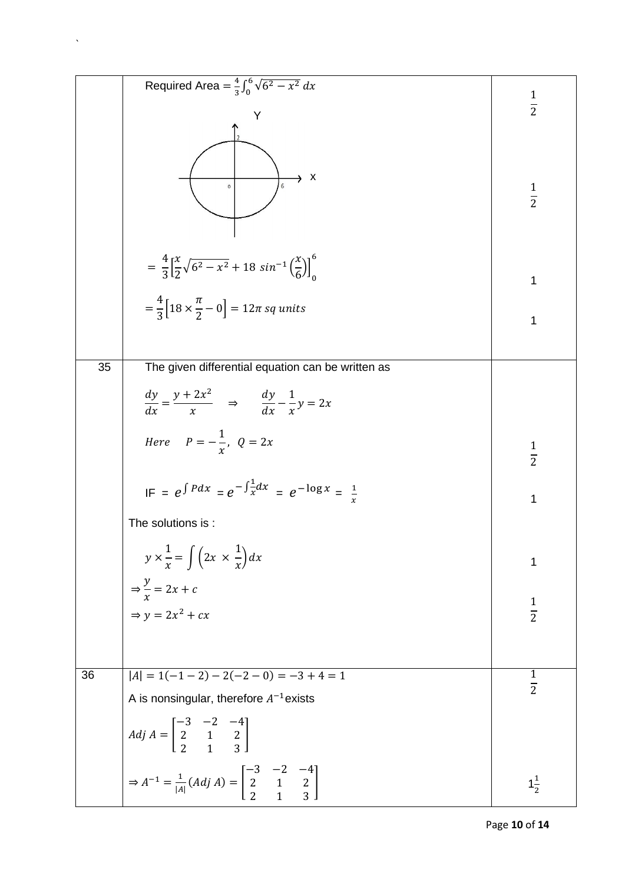|    | Required Area = $\frac{4}{3} \int_0^6 \sqrt{6^2 - x^2} dx$                                                          | $\frac{1}{2}$                 |
|----|---------------------------------------------------------------------------------------------------------------------|-------------------------------|
|    | Y                                                                                                                   |                               |
|    | $\boldsymbol{\mathsf{x}}$<br>$\circ$                                                                                | $\frac{1}{2}$                 |
|    | $=\frac{4}{3}\left[\frac{x}{2}\sqrt{6^2-x^2}+18\sin^{-1}\left(\frac{x}{6}\right)\right]_0^6$                        | 1                             |
|    | $=\frac{4}{3}[18 \times \frac{\pi}{2}-0] = 12\pi$ sq units                                                          | 1                             |
| 35 | The given differential equation can be written as                                                                   |                               |
|    | $\frac{dy}{dx} = \frac{y + 2x^2}{x} \quad \Rightarrow \quad \frac{dy}{dx} - \frac{1}{x}y = 2x$                      |                               |
|    | Here $P=-\frac{1}{r}$ , $Q=2x$                                                                                      | $\frac{1}{2}$                 |
|    | $IF = e^{\int P dx} = e^{-\int \frac{1}{x} dx} = e^{-\log x} = \frac{1}{x}$                                         | 1                             |
|    | The solutions is :                                                                                                  |                               |
|    | $y \times \frac{1}{x} = \int \left(2x \times \frac{1}{x}\right) dx$                                                 | 1                             |
|    | $\Rightarrow \frac{y}{x} = 2x + c$                                                                                  |                               |
|    | $\Rightarrow y = 2x^2 + cx$                                                                                         | $\frac{1}{2}$                 |
|    |                                                                                                                     |                               |
| 36 | $ A  = 1(-1 - 2) - 2(-2 - 0) = -3 + 4 = 1$                                                                          | $\mathbf 1$<br>$\overline{2}$ |
|    | A is nonsingular, therefore $A^{-1}$ exists                                                                         |                               |
|    | $Adj A = \begin{bmatrix} -3 & -2 & -4 \\ 2 & 1 & 2 \\ 2 & 1 & 3 \end{bmatrix}$                                      |                               |
|    | $\Rightarrow A^{-1} = \frac{1}{ A } (Adj A) = \begin{bmatrix} -3 & -2 & -4 \\ 2 & 1 & 2 \\ 2 & 1 & 3 \end{bmatrix}$ | $1\frac{1}{2}$                |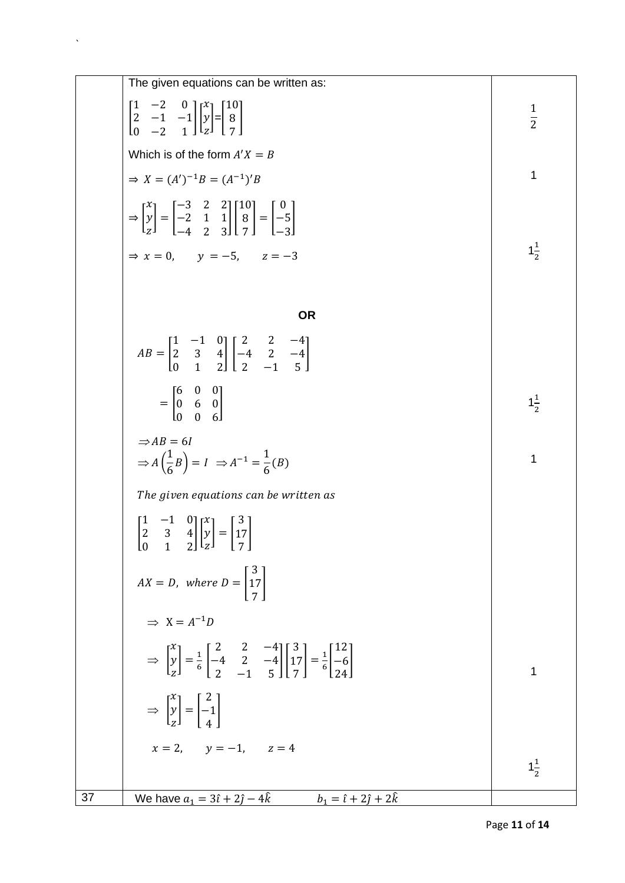The given equations can be written as:  
\n
$$
\begin{bmatrix}\n1 & -2 & 0 \\
2 & -1 & -1 \\
0 & -2 & 1\n\end{bmatrix}\n\begin{bmatrix}\nx \\
y \\
z\n\end{bmatrix} = \begin{bmatrix}\n10 \\
9 \\
7\n\end{bmatrix}
$$
\nWhich is of the form  $A'X = B$   
\n $\Rightarrow X = (A')^{-1}B = (A^{-1})'B$   
\n $\Rightarrow \begin{bmatrix}\nx \\
y \\
z\n\end{bmatrix} = \begin{bmatrix}\n-3 & 2 & 2 \\
-2 & 1 & 1 \\
-4 & 2 & 3\n\end{bmatrix}\n\begin{bmatrix}\n10 \\
9 \\
7\n\end{bmatrix} = \begin{bmatrix}\n0 \\
-5 \\
-3\n\end{bmatrix}$   
\n $\Rightarrow x = 0, \quad y = -5, \quad z = -3$   
\n $\Rightarrow x = 0, \quad y = -5, \quad z = -3$   
\n $\Rightarrow x = 0, \quad y = -5, \quad z = -3$   
\n $\Rightarrow \begin{bmatrix}\n1 & -1 & 0 \\
0 & 1 & 2 \\
0 & 1 & 2\n\end{bmatrix}\n\begin{bmatrix}\n2 & 2 & -4 \\
-4 & 2 & -4 \\
2 & -1 & 5\n\end{bmatrix}$   
\n $= \begin{bmatrix}\n0 & 0 & 0 \\
0 & 6 & 0 \\
0 & 0 & 6\n\end{bmatrix}$   
\n $\Rightarrow AB = 6I$   
\n $\Rightarrow A(\frac{1}{6}B) = I \Rightarrow A^{-1} = \frac{1}{6}(B)$   
\nThe given equations can be written as  
\n
$$
\begin{bmatrix}\n1 & -1 & 0 \\
2 & 3 & 4 \\
0 & 1 & 2\n\end{bmatrix}\n\begin{bmatrix}\ny \\
y \\
z\n\end{bmatrix} = \begin{bmatrix}\n3 \\
7 \\
7\n\end{bmatrix}
$$
  
\n $\Rightarrow X = A^{-1}D$   
\n $\Rightarrow \begin{bmatrix}\ny \\
y \\
z\n\end{bmatrix} = \frac{1}{6}\begin{bmatrix}\n2 & 2 & -4 \\
-4 & 2 & -4 \\
2 & -1 & 5\n\end{bmatrix}\n\begin{bmatrix}\n3 \\
7\n\end{bmatrix} = \frac{1}{6}\begin{bmatrix}\n2 \\
-6 \\
24\n\end{bmatrix}$   
\n $\Rightarrow \begin{bmatrix}\ny \\
y \\
z\n\$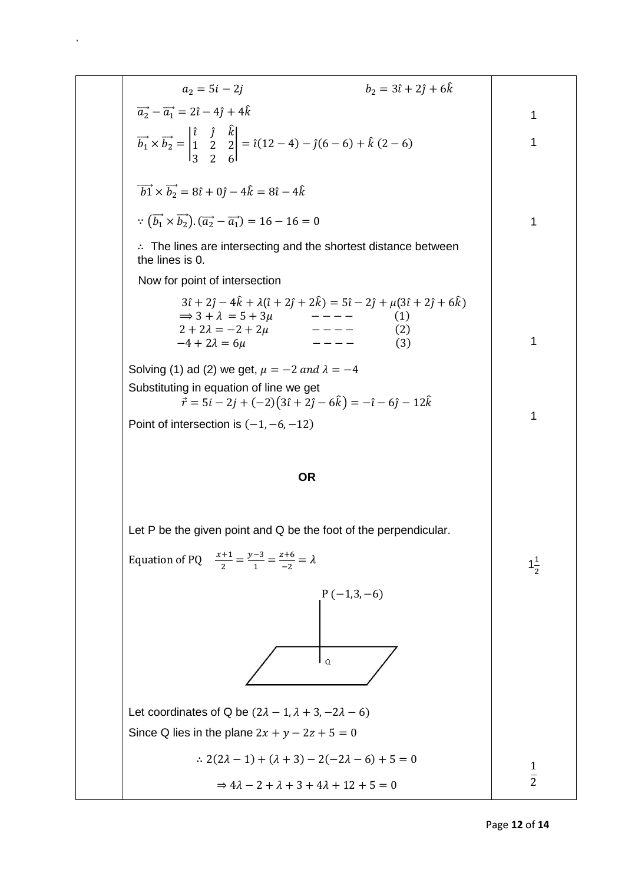| $b_2 = 3\hat{i} + 2\hat{j} + 6\hat{k}$<br>$a_2 = 5i - 2i$                                                                                                                                                                                                                                                                                                                                                                                                                                                                                                                                                                                                                                                                                                                |                                |
|--------------------------------------------------------------------------------------------------------------------------------------------------------------------------------------------------------------------------------------------------------------------------------------------------------------------------------------------------------------------------------------------------------------------------------------------------------------------------------------------------------------------------------------------------------------------------------------------------------------------------------------------------------------------------------------------------------------------------------------------------------------------------|--------------------------------|
| $\vec{a_2} - \vec{a_1} = 2\hat{i} - 4\hat{j} + 4\hat{k}$                                                                                                                                                                                                                                                                                                                                                                                                                                                                                                                                                                                                                                                                                                                 | 1                              |
| $\vec{b_1} \times \vec{b_2} = \begin{vmatrix} \hat{i} & \hat{j} & \hat{k} \\ 1 & 2 & 2 \\ 3 & 2 & 6 \end{vmatrix} = \hat{i}(12-4) - \hat{j}(6-6) + \hat{k}(2-6)$                                                                                                                                                                                                                                                                                                                                                                                                                                                                                                                                                                                                         | 1                              |
| $\overrightarrow{b1} \times \overrightarrow{b_2} = 8\hat{i} + 0\hat{j} - 4\hat{k} = 8\hat{i} - 4\hat{k}$                                                                                                                                                                                                                                                                                                                                                                                                                                                                                                                                                                                                                                                                 |                                |
| $\overrightarrow{b_1} \times \overrightarrow{b_2}$ ). $(\overrightarrow{a_2} - \overrightarrow{a_1}) = 16 - 16 = 0$                                                                                                                                                                                                                                                                                                                                                                                                                                                                                                                                                                                                                                                      | 1                              |
| $\therefore$ The lines are intersecting and the shortest distance between<br>the lines is 0.                                                                                                                                                                                                                                                                                                                                                                                                                                                                                                                                                                                                                                                                             |                                |
| Now for point of intersection                                                                                                                                                                                                                                                                                                                                                                                                                                                                                                                                                                                                                                                                                                                                            |                                |
| $3\hat{i} + 2\hat{j} - 4\hat{k} + \lambda(\hat{i} + 2\hat{j} + 2\hat{k}) = 5\hat{i} - 2\hat{j} + \mu(3\hat{i} + 2\hat{j} + 6\hat{k})$<br>$\Rightarrow$ 3 + $\lambda$ = 5 + 3 $\mu$<br>(1)<br>$- - - - -$<br>$\begin{array}{cccccccccc} \multicolumn{2}{c}{} & \multicolumn{2}{c}{} & \multicolumn{2}{c}{} & \multicolumn{2}{c}{} & \multicolumn{2}{c}{} & \multicolumn{2}{c}{} & \multicolumn{2}{c}{} & \multicolumn{2}{c}{} & \multicolumn{2}{c}{} & \multicolumn{2}{c}{} & \multicolumn{2}{c}{} & \multicolumn{2}{c}{} & \multicolumn{2}{c}{} & \multicolumn{2}{c}{} & \multicolumn{2}{c}{} & \multicolumn{2}{c}{} & \multicolumn{2}{c}{} & \multicolumn{2}{c}{} & \multicolumn{2}{c}{} & \mult$<br>$2 + 2\lambda = -2 + 2\mu$<br>(2)<br>$-4 + 2\lambda = 6\mu$<br>(3) | 1                              |
| Solving (1) ad (2) we get, $\mu = -2$ and $\lambda = -4$                                                                                                                                                                                                                                                                                                                                                                                                                                                                                                                                                                                                                                                                                                                 |                                |
| Substituting in equation of line we get                                                                                                                                                                                                                                                                                                                                                                                                                                                                                                                                                                                                                                                                                                                                  |                                |
| $\vec{r} = 5i - 2j + (-2)(3\hat{i} + 2\hat{j} - 6\hat{k}) = -\hat{i} - 6\hat{j} - 12\hat{k}$                                                                                                                                                                                                                                                                                                                                                                                                                                                                                                                                                                                                                                                                             |                                |
| Point of intersection is $(-1, -6, -12)$                                                                                                                                                                                                                                                                                                                                                                                                                                                                                                                                                                                                                                                                                                                                 | 1                              |
|                                                                                                                                                                                                                                                                                                                                                                                                                                                                                                                                                                                                                                                                                                                                                                          |                                |
| <b>OR</b>                                                                                                                                                                                                                                                                                                                                                                                                                                                                                                                                                                                                                                                                                                                                                                |                                |
|                                                                                                                                                                                                                                                                                                                                                                                                                                                                                                                                                                                                                                                                                                                                                                          |                                |
| Let P be the given point and Q be the foot of the perpendicular.                                                                                                                                                                                                                                                                                                                                                                                                                                                                                                                                                                                                                                                                                                         |                                |
|                                                                                                                                                                                                                                                                                                                                                                                                                                                                                                                                                                                                                                                                                                                                                                          |                                |
| Equation of PQ $\frac{x+1}{2} = \frac{y-3}{1} = \frac{z+6}{-2} = \lambda$                                                                                                                                                                                                                                                                                                                                                                                                                                                                                                                                                                                                                                                                                                | $1\frac{1}{2}$                 |
| $P(-1,3,-6)$                                                                                                                                                                                                                                                                                                                                                                                                                                                                                                                                                                                                                                                                                                                                                             |                                |
|                                                                                                                                                                                                                                                                                                                                                                                                                                                                                                                                                                                                                                                                                                                                                                          |                                |
|                                                                                                                                                                                                                                                                                                                                                                                                                                                                                                                                                                                                                                                                                                                                                                          |                                |
| l Q                                                                                                                                                                                                                                                                                                                                                                                                                                                                                                                                                                                                                                                                                                                                                                      |                                |
|                                                                                                                                                                                                                                                                                                                                                                                                                                                                                                                                                                                                                                                                                                                                                                          |                                |
| Let coordinates of Q be $(2\lambda - 1, \lambda + 3, -2\lambda - 6)$                                                                                                                                                                                                                                                                                                                                                                                                                                                                                                                                                                                                                                                                                                     |                                |
| Since Q lies in the plane $2x + y - 2z + 5 = 0$                                                                                                                                                                                                                                                                                                                                                                                                                                                                                                                                                                                                                                                                                                                          |                                |
| : $2(2\lambda - 1) + (\lambda + 3) - 2(-2\lambda - 6) + 5 = 0$                                                                                                                                                                                                                                                                                                                                                                                                                                                                                                                                                                                                                                                                                                           | $\mathbf{1}$<br>$\overline{2}$ |

 $\hat{\mathbf{v}}$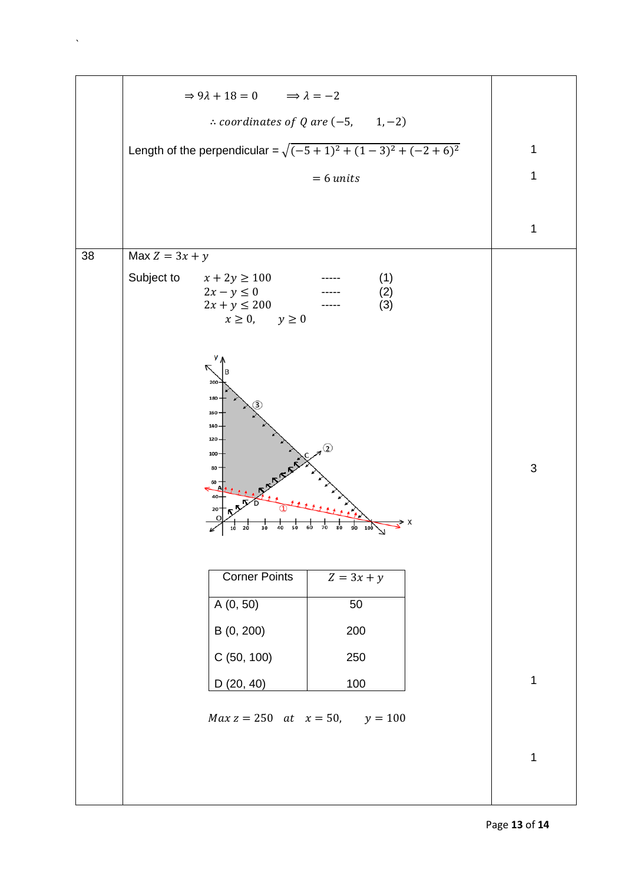|    | $\Rightarrow 9\lambda + 18 = 0$ $\Rightarrow \lambda = -2$                                                                                           |             |
|----|------------------------------------------------------------------------------------------------------------------------------------------------------|-------------|
|    | $\therefore$ coordinates of Q are (-5, 1,-2)                                                                                                         |             |
|    | Length of the perpendicular = $\sqrt{(-5+1)^2 + (1-3)^2 + (-2+6)^2}$                                                                                 | 1           |
|    | $= 6$ units                                                                                                                                          | 1           |
|    |                                                                                                                                                      |             |
|    |                                                                                                                                                      | 1           |
| 38 | Max $Z = 3x + y$                                                                                                                                     |             |
|    | Subject to<br>$x + 2y \ge 100$<br>(1)<br>$2x - y \leq 0$<br>(2)<br>$2x + y \leq 200$<br>(3)<br>$x \geq 0$ , $y \geq 0$                               |             |
|    | у<br>$200 -$<br>180<br>$160 -$<br>$140 -$<br>$120 -$<br>$100 -$<br>80<br>60<br>40<br>20<br>$\overline{80}$<br>70<br>90<br>1Ō<br>30<br>40<br>50<br>20 | $\mathsf 3$ |
|    | <b>Corner Points</b><br>$Z = 3x + y$<br>A(0, 50)<br>50                                                                                               |             |
|    | B (0, 200)<br>200                                                                                                                                    |             |
|    | C (50, 100)<br>250                                                                                                                                   |             |
|    | 100<br>D(20, 40)                                                                                                                                     | 1           |
|    | $Max z = 250$ at $x = 50$ , $y = 100$                                                                                                                |             |
|    |                                                                                                                                                      | 1           |